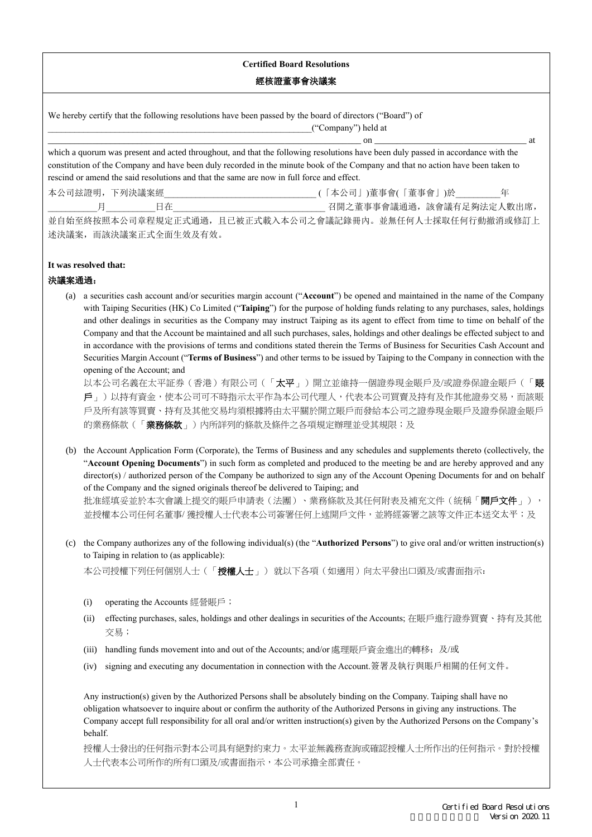## **Certified Board Resolutions**

## 經核證董事會決議案

We hereby certify that the following resolutions have been passed by the board of directors ("Board") of \_\_\_\_\_\_\_\_\_\_\_\_\_\_\_\_\_\_\_\_\_\_\_\_\_\_\_\_\_\_\_\_\_\_\_\_\_\_\_\_\_\_\_\_\_\_\_\_\_\_\_\_\_\_\_\_\_\_\_("Company") held at

\_\_\_\_\_\_\_\_\_\_\_\_\_\_\_\_\_\_\_\_\_\_\_\_\_\_\_\_\_\_\_\_\_\_\_\_\_\_\_\_\_\_\_\_\_\_\_\_\_\_\_\_\_\_\_\_\_\_\_\_\_\_\_\_\_\_\_\_\_\_ on \_\_\_\_\_\_\_\_\_\_\_\_\_\_\_\_\_\_\_\_\_\_\_\_\_\_\_\_\_\_\_\_\_\_ at

which a quorum was present and acted throughout, and that the following resolutions have been duly passed in accordance with the constitution of the Company and have been duly recorded in the minute book of the Company and that no action have been taken to rescind or amend the said resolutions and that the same are now in full force and effect.

本公司玆證明,下列決議案經\_\_\_\_\_\_\_\_\_\_\_\_\_\_\_\_\_\_\_\_\_\_\_\_\_\_\_\_\_\_\_\_\_\_ (「本公司」)董事會(「董事會」)於\_\_\_\_\_\_\_\_\_\_年

\_\_\_\_\_\_\_\_\_\_\_月\_\_\_\_\_\_\_\_\_\_\_日在\_\_\_\_\_\_\_\_\_\_\_\_\_\_\_\_\_\_\_\_\_\_\_\_\_\_\_\_\_\_\_\_\_\_ 召開之董事事會議通過,該會議有足夠法定人數出席, 並自始至終按照本公司章程規定正式通過,且已被正式載入本公司之會議記錄冊內。並無任何人士採取任何行動撤消或修訂上 述決議案,而該決議案正式全面生效及有效。

## **It was resolved that:**

## 決議案通過:

(a) a securities cash account and/or securities margin account ("**Account**") be opened and maintained in the name of the Company with Taiping Securities (HK) Co Limited ("**Taiping**") for the purpose of holding funds relating to any purchases, sales, holdings and other dealings in securities as the Company may instruct Taiping as its agent to effect from time to time on behalf of the Company and that the Account be maintained and all such purchases, sales, holdings and other dealings be effected subject to and in accordance with the provisions of terms and conditions stated therein the Terms of Business for Securities Cash Account and Securities Margin Account ("**Terms of Business**") and other terms to be issued by Taiping to the Company in connection with the opening of the Account; and

以本公司名義在太平証券(香港)有限公司(「太平」)開立並維持一個證券現金賬戶及/或證券保證金賬戶(「**賬** 戶」)以持有資金,使本公司可不時指示太平作為本公司代理人,代表本公司買賣及持有及作其他證劵交易,而該賬 戶及所有該等買賣、持有及其他交易均須根據將由太平關於開立賬戶而發給本公司之證券現金賬戶及證券保證金賬戶 的業務條款(「**業務條款**」)內所詳列的條款及條件之各項規定辦理並受其規限;及

- (b) the Account Application Form (Corporate), the Terms of Business and any schedules and supplements thereto (collectively, the "**Account Opening Documents**") in such form as completed and produced to the meeting be and are hereby approved and any director(s) / authorized person of the Company be authorized to sign any of the Account Opening Documents for and on behalf of the Company and the signed originals thereof be delivered to Taiping; and 批准經填妥並於本次會議上提交的賬戶申請表(法團)、業務條款及其任何附表及補充文件(統稱「開戶文件」), 並授權本公司任何名董事/ 獲授權人士代表本公司簽署任何上述開戶文件,並將經簽署之該等文件正本送交太平;及
- (c) the Company authorizes any of the following individual(s) (the "**Authorized Persons**") to give oral and/or written instruction(s) to Taiping in relation to (as applicable):

本公司授權下列任何個別人士(「授權人士」) 就以下各項(如適用)向太平發出口頭及/或書面指示:

- (i) operating the Accounts 經營賬戶;
- (ii) effecting purchases, sales, holdings and other dealings in securities of the Accounts; 在賬戶進行證券買賣、持有及其他 交易;
- (iii) handling funds movement into and out of the Accounts; and/or 處理賬戶資金進出的轉移;及/或
- (iv) signing and executing any documentation in connection with the Account.簽署及執行與賬戶相關的任何文件。

Any instruction(s) given by the Authorized Persons shall be absolutely binding on the Company. Taiping shall have no obligation whatsoever to inquire about or confirm the authority of the Authorized Persons in giving any instructions. The Company accept full responsibility for all oral and/or written instruction(s) given by the Authorized Persons on the Company's behalf.

授權人士發出的任何指示對本公司具有絕對約束力。太平並無義務查詢或確認授權人士所作出的任何指示。對於授權 人士代表本公司所作的所有口頭及/或書面指示,本公司承擔全部責任。